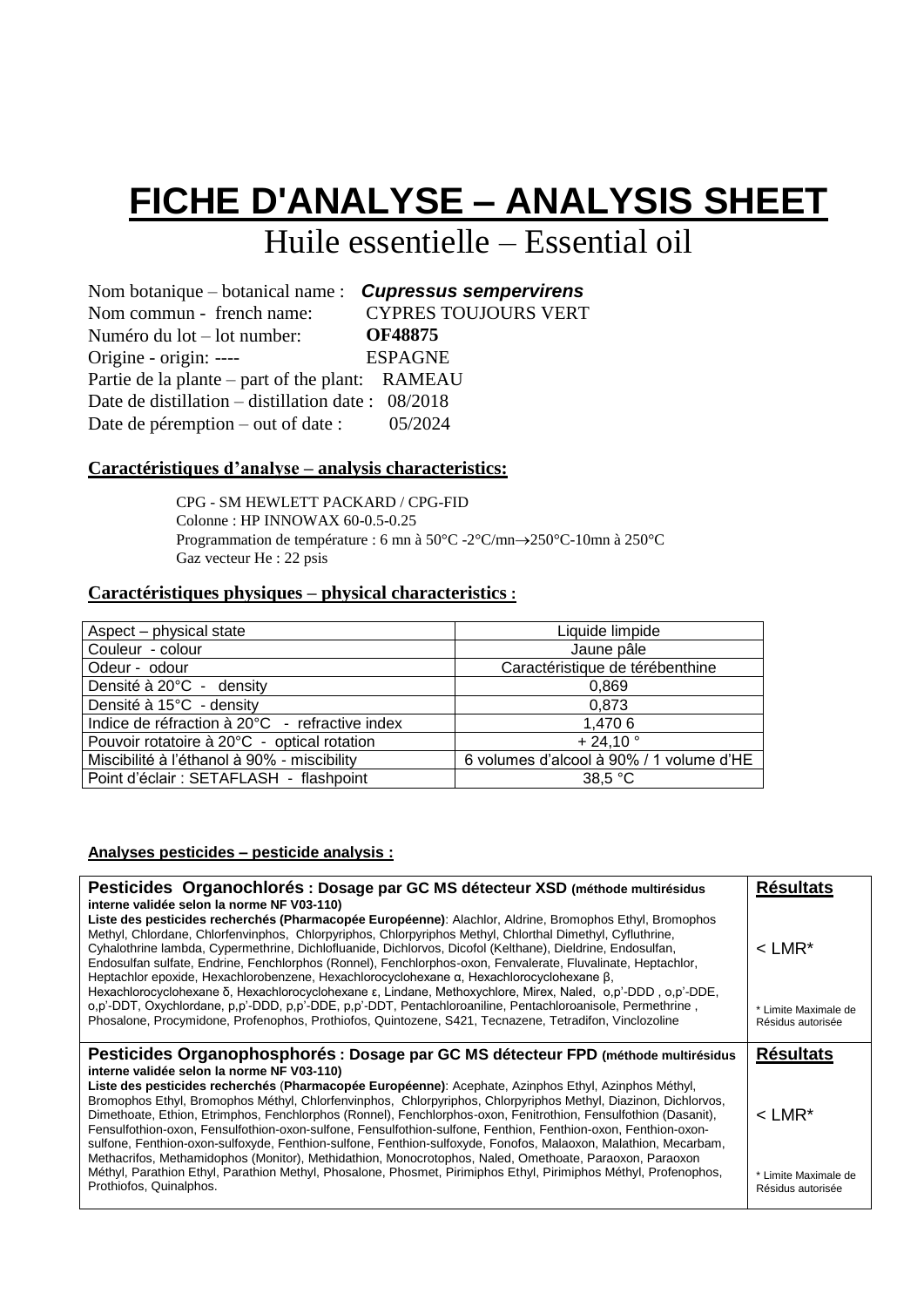# **FICHE D'ANALYSE – ANALYSIS SHEET**

Huile essentielle – Essential oil

| Nom botanique $-$ botanical name : <b>Cupressus sempervirens</b> |                             |
|------------------------------------------------------------------|-----------------------------|
| Nom commun - french name:                                        | <b>CYPRES TOUJOURS VERT</b> |
| Numéro du $lot$ – lot number:                                    | <b>OF48875</b>              |
| Origine - origin: ----                                           | <b>ESPAGNE</b>              |
| Partie de la plante – part of the plant: RAMEAU                  |                             |
| Date de distillation – distillation date : $08/2018$             |                             |
| Date de péremption – out of date : $05/2024$                     |                             |
|                                                                  |                             |

#### **Caractéristiques d'analyse – analysis characteristics:**

CPG - SM HEWLETT PACKARD / CPG-FID Colonne : HP INNOWAX 60-0.5-0.25 Programmation de température : 6 mn à  $50^{\circ}$ C -2°C/mn $\rightarrow$ 250°C-10mn à 250°C Gaz vecteur He : 22 psis

#### **Caractéristiques physiques – physical characteristics :**

| Aspect - physical state                        | Liquide limpide                          |
|------------------------------------------------|------------------------------------------|
| Couleur - colour                               | Jaune pâle                               |
| Odeur - odour                                  | Caractéristique de térébenthine          |
| Densité à 20°C - density                       | 0,869                                    |
| Densité à 15°C - density                       | 0.873                                    |
| Indice de réfraction à 20°C - refractive index | 1,470 6                                  |
| Pouvoir rotatoire à 20°C - optical rotation    | $+24.10$ °                               |
| Miscibilité à l'éthanol à 90% - miscibility    | 6 volumes d'alcool à 90% / 1 volume d'HE |
| Point d'éclair : SETAFLASH - flashpoint        | 38.5 °C                                  |

#### **Analyses pesticides – pesticide analysis :**

| Pesticides Organochlorés : Dosage par GC MS détecteur XSD (méthode multirésidus<br>interne validée selon la norme NF V03-110)                                                                                                                                                                                                                                                                                                                                                                                                                                                                                                                                                                                                                                                                                                                                                          | <b>Résultats</b>                                                  |
|----------------------------------------------------------------------------------------------------------------------------------------------------------------------------------------------------------------------------------------------------------------------------------------------------------------------------------------------------------------------------------------------------------------------------------------------------------------------------------------------------------------------------------------------------------------------------------------------------------------------------------------------------------------------------------------------------------------------------------------------------------------------------------------------------------------------------------------------------------------------------------------|-------------------------------------------------------------------|
| Liste des pesticides recherchés (Pharmacopée Européenne): Alachlor, Aldrine, Bromophos Ethyl, Bromophos<br>Methyl, Chlordane, Chlorfenvinphos, Chlorpyriphos, Chlorpyriphos Methyl, Chlorthal Dimethyl, Cyfluthrine,<br>Cyhalothrine lambda, Cypermethrine, Dichlofluanide, Dichlorvos, Dicofol (Kelthane), Dieldrine, Endosulfan,<br>Endosulfan sulfate, Endrine, Fenchlorphos (Ronnel), Fenchlorphos-oxon, Fenvalerate, Fluvalinate, Heptachlor,<br>Heptachlor epoxide, Hexachlorobenzene, Hexachlorocyclohexane α, Hexachlorocyclohexane β,<br>Hexachlorocyclohexane δ. Hexachlorocyclohexane ε. Lindane. Methoxychlore. Mirex. Naled. o.p'-DDD, o.p'-DDE.<br>o,p'-DDT, Oxychlordane, p,p'-DDD, p,p'-DDE, p,p'-DDT, Pentachloroaniline, Pentachloroanisole, Permethrine,<br>Phosalone, Procymidone, Profenophos, Prothiofos, Quintozene, S421, Tecnazene, Tetradifon, Vinclozoline  | $<$ LMR <sup>*</sup><br>* Limite Maximale de<br>Résidus autorisée |
| Pesticides Organophosphorés : Dosage par GC MS détecteur FPD (méthode multirésidus                                                                                                                                                                                                                                                                                                                                                                                                                                                                                                                                                                                                                                                                                                                                                                                                     | <b>Résultats</b>                                                  |
| interne validée selon la norme NF V03-110)<br>Liste des pesticides recherchés (Pharmacopée Européenne): Acephate, Azinphos Ethyl, Azinphos Méthyl,<br>Bromophos Ethyl, Bromophos Méthyl, Chlorfenvinphos, Chlorpyriphos, Chlorpyriphos Methyl, Diazinon, Dichlorvos,<br>Dimethoate, Ethion, Etrimphos, Fenchlorphos (Ronnel), Fenchlorphos-oxon, Fenitrothion, Fensulfothion (Dasanit),<br>Fensulfothion-oxon, Fensulfothion-oxon-sulfone, Fensulfothion-sulfone, Fenthion, Fenthion-oxon, Fenthion-oxon-<br>sulfone, Fenthion-oxon-sulfoxyde, Fenthion-sulfone, Fenthion-sulfoxyde, Fonofos, Malaoxon, Malathion, Mecarbam,<br>Methacrifos, Methamidophos (Monitor), Methidathion, Monocrotophos, Naled, Omethoate, Paraoxon, Paraoxon<br>Méthyl, Parathion Ethyl, Parathion Methyl, Phosalone, Phosmet, Pirimiphos Ethyl, Pirimiphos Méthyl, Profenophos,<br>Prothiofos, Quinalphos. | $<$ LMR <sup>*</sup><br>* Limite Maximale de                      |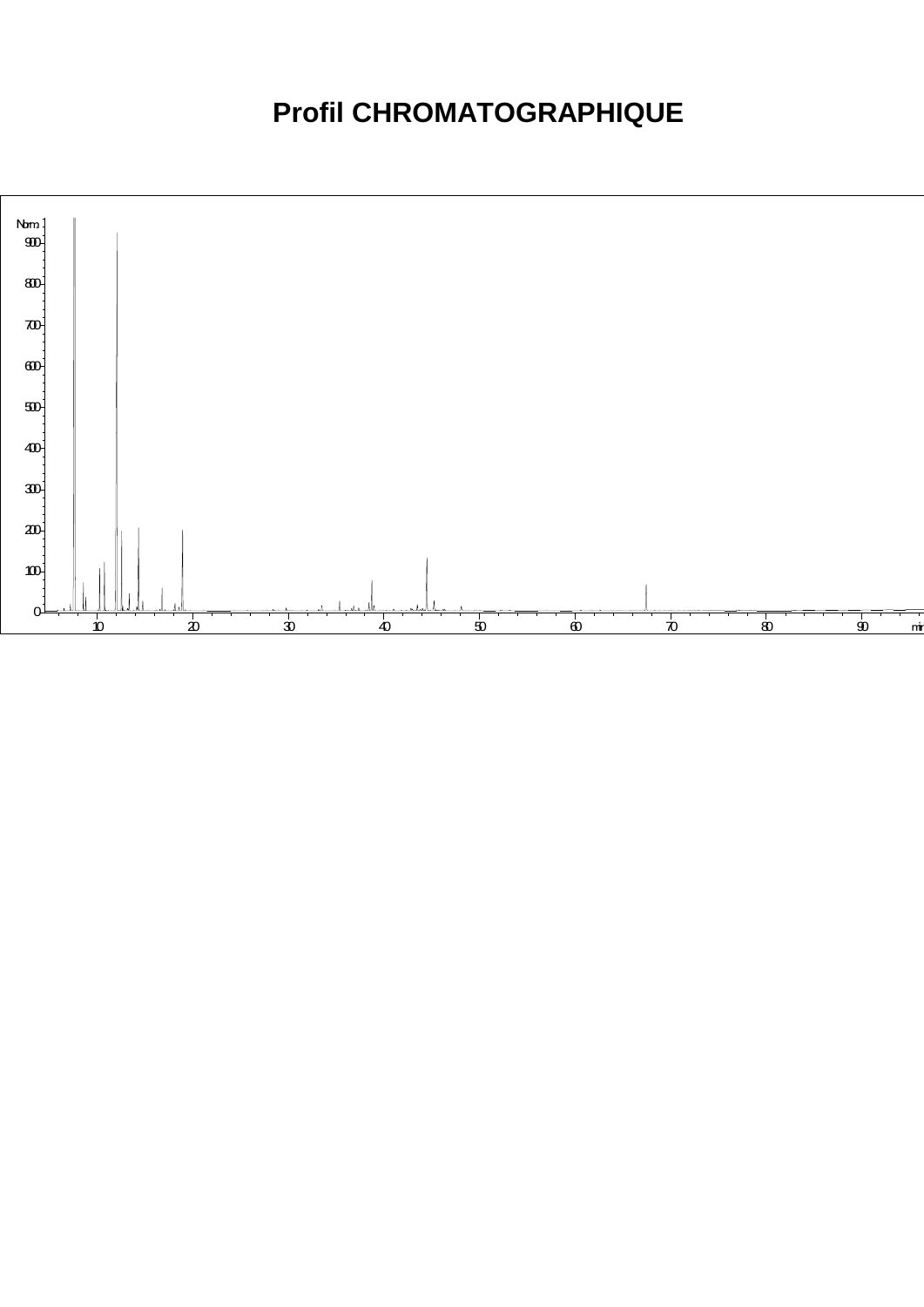### **Profil CHROMATOGRAPHIQUE**

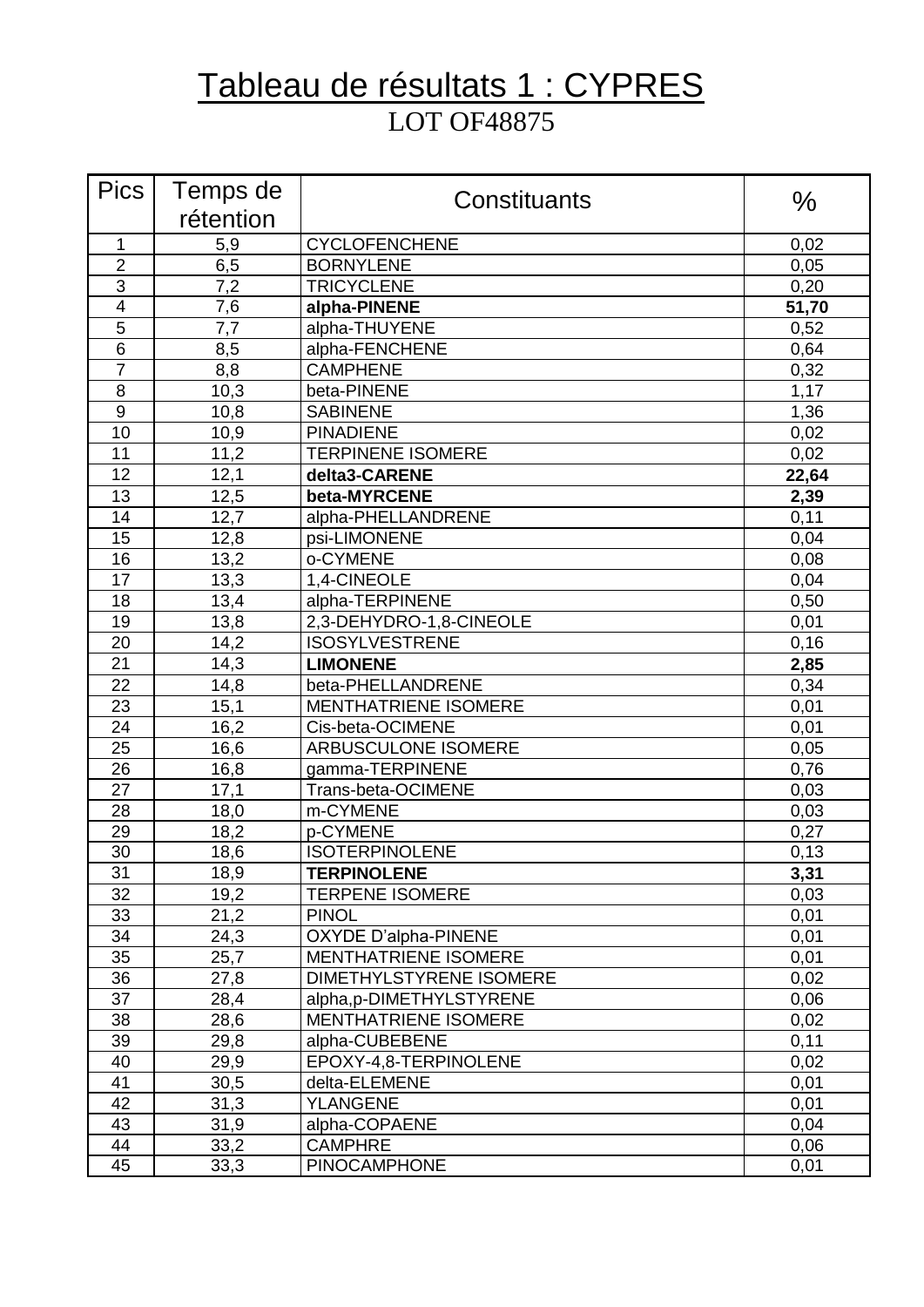### Tableau de résultats 1 : CYPRES LOT OF48875

| <b>Pics</b>             | Temps de  | Constituants                | $\%$  |
|-------------------------|-----------|-----------------------------|-------|
|                         | rétention |                             |       |
| 1                       | 5,9       | <b>CYCLOFENCHENE</b>        | 0,02  |
| $\overline{2}$          | 6,5       | <b>BORNYLENE</b>            | 0,05  |
| 3                       | 7,2       | <b>TRICYCLENE</b>           | 0,20  |
| $\overline{\mathbf{4}}$ | 7,6       | alpha-PINENE                | 51,70 |
| 5                       | 7,7       | alpha-THUYENE               | 0,52  |
| 6                       | 8,5       | alpha-FENCHENE              | 0,64  |
| 7                       | 8,8       | <b>CAMPHENE</b>             | 0,32  |
| 8                       | 10,3      | beta-PINENE                 | 1,17  |
| 9                       | 10,8      | <b>SABINENE</b>             | 1,36  |
| 10                      | 10,9      | <b>PINADIENE</b>            | 0,02  |
| 11                      | 11,2      | <b>TERPINENE ISOMERE</b>    | 0,02  |
| 12                      | 12,1      | delta3-CARENE               | 22,64 |
| 13                      | 12,5      | beta-MYRCENE                | 2,39  |
| 14                      | 12,7      | alpha-PHELLANDRENE          | 0,11  |
| 15                      | 12,8      | psi-LIMONENE                | 0,04  |
| 16                      | 13,2      | o-CYMENE                    | 0,08  |
| 17                      | 13,3      | 1,4-CINEOLE                 | 0,04  |
| 18                      | 13,4      | alpha-TERPINENE             | 0,50  |
| 19                      | 13,8      | 2,3-DEHYDRO-1,8-CINEOLE     | 0,01  |
| 20                      | 14,2      | <b>ISOSYLVESTRENE</b>       | 0, 16 |
| 21                      | 14,3      | <b>LIMONENE</b>             | 2,85  |
| 22                      | 14,8      | beta-PHELLANDRENE           | 0,34  |
| 23                      | 15,1      | <b>MENTHATRIENE ISOMERE</b> | 0,01  |
| 24                      | 16,2      | Cis-beta-OCIMENE            | 0,01  |
| 25                      | 16,6      | ARBUSCULONE ISOMERE         | 0,05  |
| 26                      | 16,8      | gamma-TERPINENE             | 0,76  |
| 27                      | 17,1      | Trans-beta-OCIMENE          | 0,03  |
| 28                      | 18,0      | m-CYMENE                    | 0,03  |
| 29                      | 18,2      | p-CYMENE                    | 0,27  |
| 30                      | 18,6      | <b>ISOTERPINOLENE</b>       | 0, 13 |
| 31                      | 18,9      | <b>TERPINOLENE</b>          | 3,31  |
| 32                      | 19,2      | <b>TERPENE ISOMERE</b>      | 0,03  |
| 33                      | 21,2      | <b>PINOL</b>                | 0,01  |
| 34                      | 24,3      | <b>OXYDE D'alpha-PINENE</b> | 0,01  |
| 35                      | 25,7      | <b>MENTHATRIENE ISOMERE</b> | 0,01  |
| 36                      | 27,8      | DIMETHYLSTYRENE ISOMERE     | 0,02  |
| 37                      | 28,4      | alpha,p-DIMETHYLSTYRENE     | 0,06  |
| 38                      | 28,6      | <b>MENTHATRIENE ISOMERE</b> | 0,02  |
| 39                      | 29,8      | alpha-CUBEBENE              | 0,11  |
| 40                      | 29,9      | EPOXY-4,8-TERPINOLENE       | 0,02  |
| 41                      | 30,5      | delta-ELEMENE               | 0,01  |
| 42                      | 31,3      | <b>YLANGENE</b>             | 0,01  |
| 43                      | 31,9      | alpha-COPAENE               | 0,04  |
| 44                      | 33,2      | <b>CAMPHRE</b>              | 0,06  |
| 45                      | 33,3      | <b>PINOCAMPHONE</b>         | 0,01  |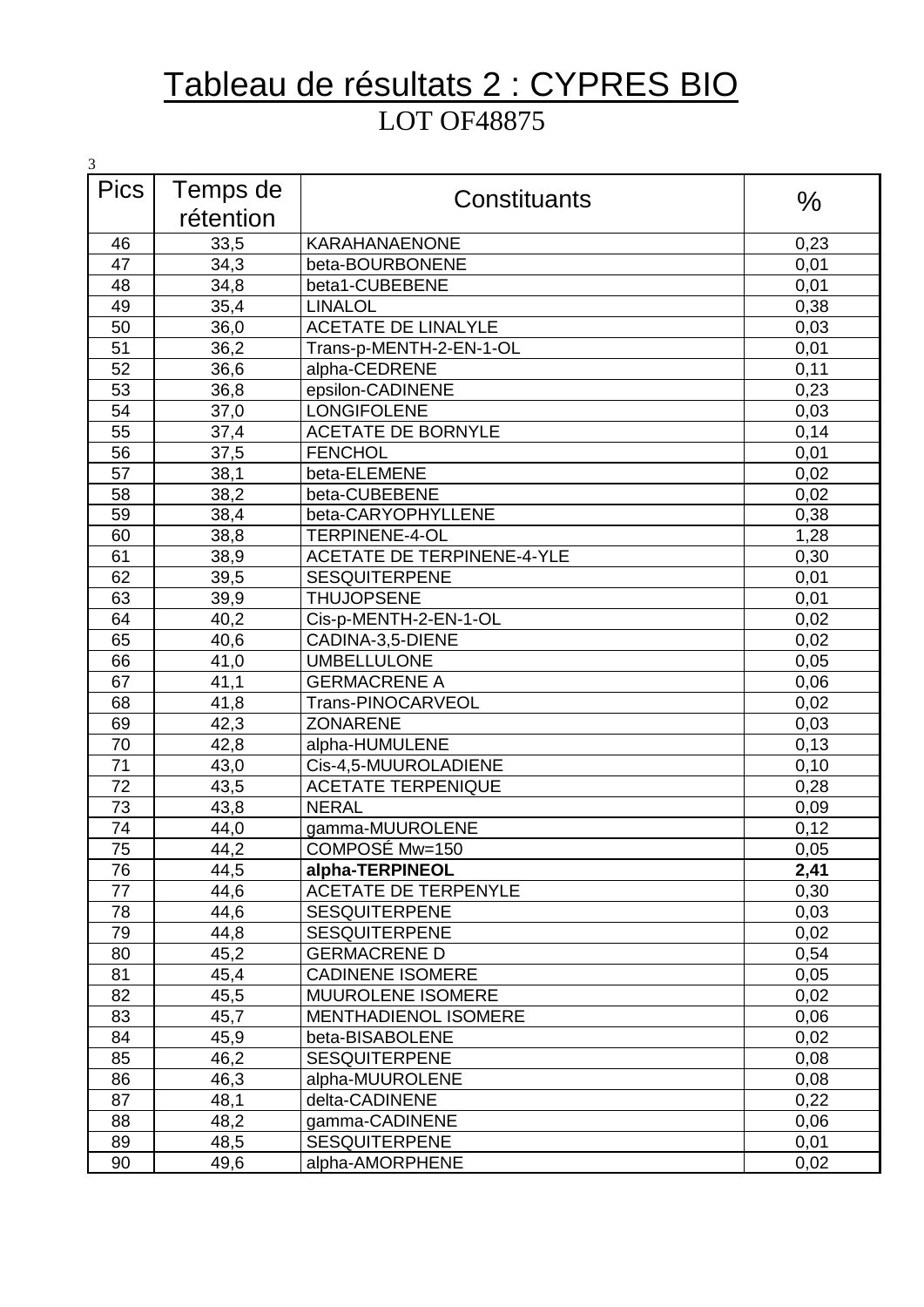### Tableau de résultats 2 : CYPRES BIO LOT OF48875

| 3           |           |                                   |      |
|-------------|-----------|-----------------------------------|------|
| <b>Pics</b> | Temps de  | Constituants                      | $\%$ |
|             | rétention |                                   |      |
| 46          | 33,5      | <b>KARAHANAENONE</b>              | 0,23 |
| 47          | 34,3      | beta-BOURBONENE                   | 0,01 |
| 48          | 34,8      | beta1-CUBEBENE                    | 0,01 |
| 49          | 35,4      | <b>LINALOL</b>                    | 0,38 |
| 50          | 36,0      | <b>ACETATE DE LINALYLE</b>        | 0,03 |
| 51          | 36,2      | Trans-p-MENTH-2-EN-1-OL           | 0,01 |
| 52          | 36,6      | alpha-CEDRENE                     | 0,11 |
| 53          | 36,8      | epsilon-CADINENE                  | 0,23 |
| 54          | 37,0      | <b>LONGIFOLENE</b>                | 0,03 |
| 55          | 37,4      | <b>ACETATE DE BORNYLE</b>         | 0,14 |
| 56          | 37,5      | <b>FENCHOL</b>                    | 0,01 |
| 57          | 38,1      | beta-ELEMENE                      | 0,02 |
| 58          | 38,2      | beta-CUBEBENE                     | 0,02 |
| 59          | 38,4      | beta-CARYOPHYLLENE                | 0,38 |
| 60          | 38,8      | <b>TERPINENE-4-OL</b>             | 1,28 |
| 61          | 38,9      | <b>ACETATE DE TERPINENE-4-YLE</b> | 0,30 |
| 62          | 39,5      | <b>SESQUITERPENE</b>              | 0,01 |
| 63          | 39,9      | <b>THUJOPSENE</b>                 | 0,01 |
| 64          | 40,2      | Cis-p-MENTH-2-EN-1-OL             | 0,02 |
| 65          | 40,6      | CADINA-3,5-DIENE                  | 0,02 |
| 66          | 41,0      | <b>UMBELLULONE</b>                | 0,05 |
| 67          | 41,1      | <b>GERMACRENE A</b>               | 0,06 |
| 68          | 41,8      | Trans-PINOCARVEOL                 | 0,02 |
| 69          | 42,3      | <b>ZONARENE</b>                   | 0,03 |
| 70          | 42,8      | alpha-HUMULENE                    | 0,13 |
| 71          | 43,0      | Cis-4,5-MUUROLADIENE              | 0,10 |
| 72          | 43,5      | <b>ACETATE TERPENIQUE</b>         | 0,28 |
| 73          | 43,8      | <b>NERAL</b>                      | 0,09 |
| 74          | 44,0      | gamma-MUUROLENE                   | 0,12 |
| 75          | 44,2      | COMPOSÉ Mw=150                    | 0,05 |
| 76          | 44,5      | alpha-TERPINEOL                   | 2,41 |
| 77          | 44,6      | <b>ACETATE DE TERPENYLE</b>       | 0,30 |
| 78          | 44,6      | <b>SESQUITERPENE</b>              | 0,03 |
| 79          | 44,8      | <b>SESQUITERPENE</b>              | 0,02 |
| 80          | 45,2      | <b>GERMACRENE D</b>               | 0,54 |
| 81          | 45,4      | <b>CADINENE ISOMERE</b>           | 0,05 |
| 82          | 45,5      | MUUROLENE ISOMERE                 | 0,02 |
| 83          | 45,7      | <b>MENTHADIENOL ISOMERE</b>       | 0,06 |
| 84          | 45,9      | beta-BISABOLENE                   | 0,02 |
| 85          | 46,2      | <b>SESQUITERPENE</b>              | 0,08 |
| 86          | 46,3      | alpha-MUUROLENE                   | 0,08 |
| 87          | 48,1      | delta-CADINENE                    | 0,22 |
| 88          | 48,2      | gamma-CADINENE                    | 0,06 |
| 89          | 48,5      | <b>SESQUITERPENE</b>              | 0,01 |
| 90          | 49,6      | alpha-AMORPHENE                   | 0,02 |